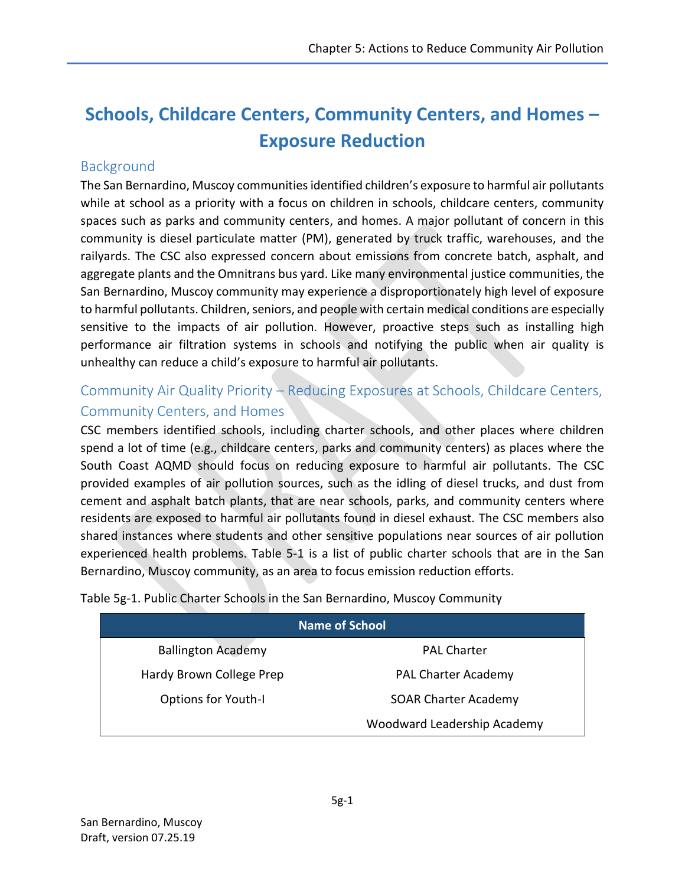# **Schools, Childcare Centers, Community Centers, and Homes – Exposure Reduction**

## **Background**

The San Bernardino, Muscoy communities identified children's exposure to harmful air pollutants while at school as a priority with a focus on children in schools, childcare centers, community spaces such as parks and community centers, and homes. A major pollutant of concern in this community is diesel particulate matter (PM), generated by truck traffic, warehouses, and the railyards. The CSC also expressed concern about emissions from concrete batch, asphalt, and aggregate plants and the Omnitrans bus yard. Like many environmental justice communities, the San Bernardino, Muscoy community may experience a disproportionately high level of exposure to harmful pollutants. Children, seniors, and people with certain medical conditions are especially sensitive to the impacts of air pollution. However, proactive steps such as installing high performance air filtration systems in schools and notifying the public when air quality is unhealthy can reduce a child's exposure to harmful air pollutants.

# Community Air Quality Priority – Reducing Exposures at Schools, Childcare Centers, Community Centers, and Homes

CSC members identified schools, including charter schools, and other places where children spend a lot of time (e.g., childcare centers, parks and community centers) as places where the South Coast AQMD should focus on reducing exposure to harmful air pollutants. The CSC provided examples of air pollution sources, such as the idling of diesel trucks, and dust from cement and asphalt batch plants, that are near schools, parks, and community centers where residents are exposed to harmful air pollutants found in diesel exhaust. The CSC members also shared instances where students and other sensitive populations near sources of air pollution experienced health problems. Table 5-1 is a list of public charter schools that are in the San Bernardino, Muscoy community, as an area to focus emission reduction efforts.

| Name of School             |                             |
|----------------------------|-----------------------------|
| <b>Ballington Academy</b>  | <b>PAL Charter</b>          |
| Hardy Brown College Prep   | <b>PAL Charter Academy</b>  |
| <b>Options for Youth-I</b> | <b>SOAR Charter Academy</b> |
|                            | Woodward Leadership Academy |

Table 5g-1. Public Charter Schools in the San Bernardino, Muscoy Community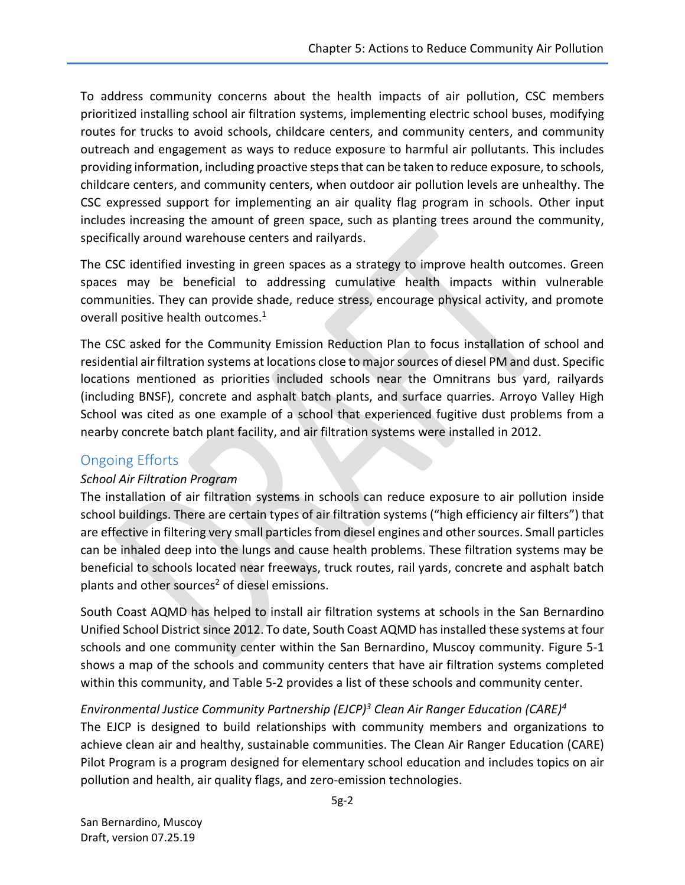To address community concerns about the health impacts of air pollution, CSC members prioritized installing school air filtration systems, implementing electric school buses, modifying routes for trucks to avoid schools, childcare centers, and community centers, and community outreach and engagement as ways to reduce exposure to harmful air pollutants. This includes providing information, including proactive steps that can be taken to reduce exposure, to schools, childcare centers, and community centers, when outdoor air pollution levels are unhealthy. The CSC expressed support for implementing an air quality flag program in schools. Other input includes increasing the amount of green space, such as planting trees around the community, specifically around warehouse centers and railyards.

The CSC identified investing in green spaces as a strategy to improve health outcomes. Green spaces may be beneficial to addressing cumulative health impacts within vulnerable communities. They can provide shade, reduce stress, encourage physical activity, and promote overall positive health outcomes. 1

The CSC asked for the Community Emission Reduction Plan to focus installation of school and residential air filtration systems at locations close to major sources of diesel PM and dust. Specific locations mentioned as priorities included schools near the Omnitrans bus yard, railyards (including BNSF), concrete and asphalt batch plants, and surface quarries. Arroyo Valley High School was cited as one example of a school that experienced fugitive dust problems from a nearby concrete batch plant facility, and air filtration systems were installed in 2012.

## Ongoing Efforts

### *School Air Filtration Program*

The installation of air filtration systems in schools can reduce exposure to air pollution inside school buildings. There are certain types of air filtration systems ("high efficiency air filters") that are effective in filtering very small particles from diesel engines and other sources. Small particles can be inhaled deep into the lungs and cause health problems. These filtration systems may be beneficial to schools located near freeways, truck routes, rail yards, concrete and asphalt batch plants and other sources<sup>2</sup> of diesel emissions.

South Coast AQMD has helped to install air filtration systems at schools in the San Bernardino Unified School District since 2012. To date, South Coast AQMD has installed these systems at four schools and one community center within the San Bernardino, Muscoy community. Figure 5-1 shows a map of the schools and community centers that have air filtration systems completed within this community, and Table 5-2 provides a list of these schools and community center.

## *Environmental Justice Community Partnership (EJCP)<sup>3</sup> Clean Air Ranger Education (CARE)<sup>4</sup>*

The EJCP is designed to build relationships with community members and organizations to achieve clean air and healthy, sustainable communities. The Clean Air Ranger Education (CARE) Pilot Program is a program designed for elementary school education and includes topics on air pollution and health, air quality flags, and zero-emission technologies.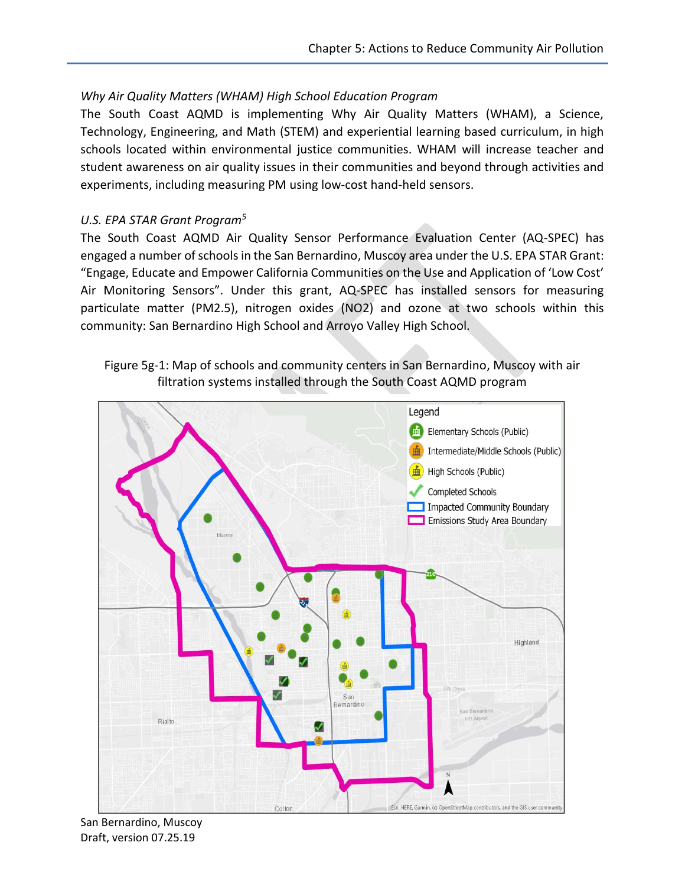### *Why Air Quality Matters (WHAM) High School Education Program*

The South Coast AQMD is implementing Why Air Quality Matters (WHAM), a Science, Technology, Engineering, and Math (STEM) and experiential learning based curriculum, in high schools located within environmental justice communities. WHAM will increase teacher and student awareness on air quality issues in their communities and beyond through activities and experiments, including measuring PM using low-cost hand-held sensors.

#### *U.S. EPA STAR Grant Program<sup>5</sup>*

The South Coast AQMD Air Quality Sensor Performance Evaluation Center (AQ-SPEC) has engaged a number of schools in the San Bernardino, Muscoy area under the U.S. EPA STAR Grant: "Engage, Educate and Empower California Communities on the Use and Application of 'Low Cost' Air Monitoring Sensors". Under this grant, AQ-SPEC has installed sensors for measuring particulate matter (PM2.5), nitrogen oxides (NO2) and ozone at two schools within this community: San Bernardino High School and Arroyo Valley High School.





San Bernardino, Muscoy Draft, version 07.25.19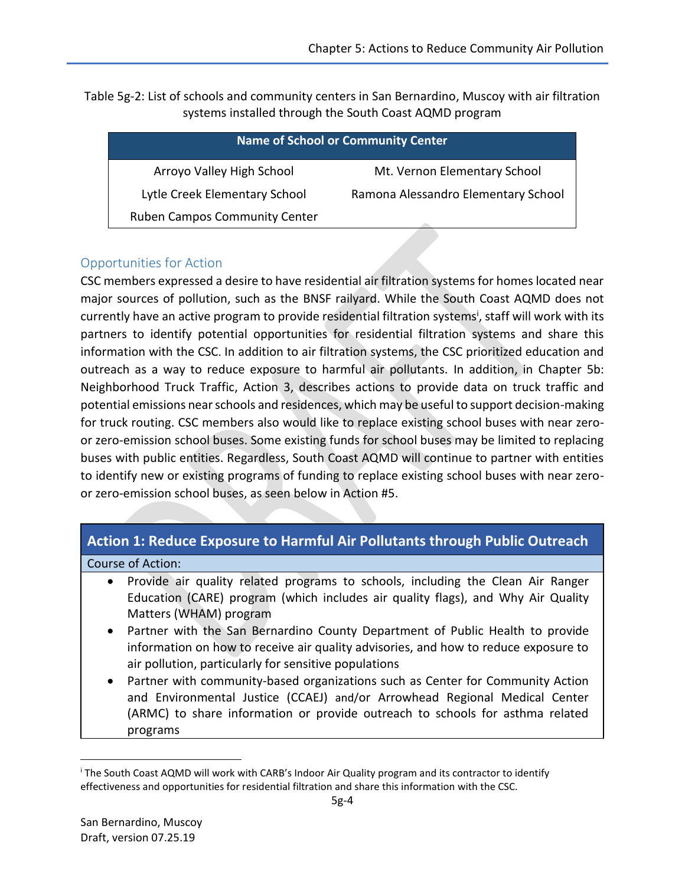Table 5g-2: List of schools and community centers in San Bernardino, Muscoy with air filtration systems installed through the South Coast AQMD program

|                                      | <b>Name of School or Community Center</b> |
|--------------------------------------|-------------------------------------------|
| Arroyo Valley High School            | Mt. Vernon Elementary School              |
| Lytle Creek Elementary School        | Ramona Alessandro Elementary School       |
| <b>Ruben Campos Community Center</b> |                                           |

### Opportunities for Action

CSC members expressed a desire to have residential air filtration systems for homes located near major sources of pollution, such as the BNSF railyard. While the South Coast AQMD does not currently have an active program to provide residential filtration systems<sup>i</sup>, staff will work with its partners to identify potential opportunities for residential filtration systems and share this information with the CSC. In addition to air filtration systems, the CSC prioritized education and outreach as a way to reduce exposure to harmful air pollutants. In addition, in Chapter 5b: Neighborhood Truck Traffic, Action 3, describes actions to provide data on truck traffic and potential emissions near schools and residences, which may be useful to support decision-making for truck routing. CSC members also would like to replace existing school buses with near zeroor zero-emission school buses. Some existing funds for school buses may be limited to replacing buses with public entities. Regardless, South Coast AQMD will continue to partner with entities to identify new or existing programs of funding to replace existing school buses with near zeroor zero-emission school buses, as seen below in Action #5.

### **Action 1: Reduce Exposure to Harmful Air Pollutants through Public Outreach**

#### Course of Action:

- Provide air quality related programs to schools, including the Clean Air Ranger Education (CARE) program (which includes air quality flags), and Why Air Quality Matters (WHAM) program
- Partner with the San Bernardino County Department of Public Health to provide information on how to receive air quality advisories, and how to reduce exposure to air pollution, particularly for sensitive populations
- Partner with community-based organizations such as Center for Community Action and Environmental Justice (CCAEJ) and/or Arrowhead Regional Medical Center (ARMC) to share information or provide outreach to schools for asthma related programs

 $\overline{\phantom{a}}$ 

<sup>i</sup> The South Coast AQMD will work with CARB's Indoor Air Quality program and its contractor to identify effectiveness and opportunities for residential filtration and share this information with the CSC.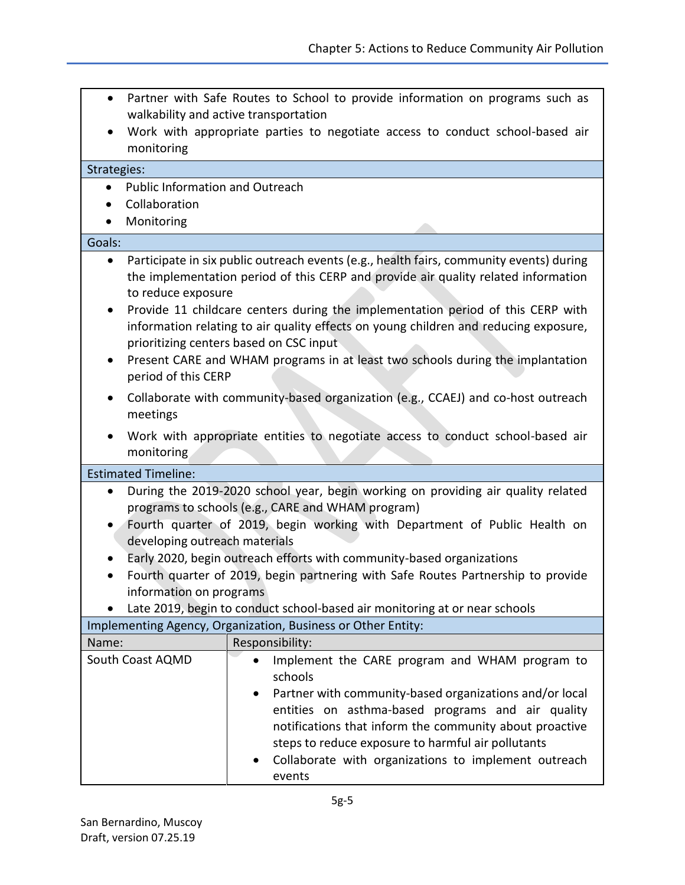- Partner with Safe Routes to School to provide information on programs such as walkability and active transportation
- Work with appropriate parties to negotiate access to conduct school-based air monitoring

| Strategies:                                                                                                                                                                                                                                                                                                                               |                                           |                                                                                                                                                                                                                                                                                                                                                                                                                                                                                       |
|-------------------------------------------------------------------------------------------------------------------------------------------------------------------------------------------------------------------------------------------------------------------------------------------------------------------------------------------|-------------------------------------------|---------------------------------------------------------------------------------------------------------------------------------------------------------------------------------------------------------------------------------------------------------------------------------------------------------------------------------------------------------------------------------------------------------------------------------------------------------------------------------------|
|                                                                                                                                                                                                                                                                                                                                           | <b>Public Information and Outreach</b>    |                                                                                                                                                                                                                                                                                                                                                                                                                                                                                       |
|                                                                                                                                                                                                                                                                                                                                           | Collaboration                             |                                                                                                                                                                                                                                                                                                                                                                                                                                                                                       |
|                                                                                                                                                                                                                                                                                                                                           | Monitoring                                |                                                                                                                                                                                                                                                                                                                                                                                                                                                                                       |
| Goals:                                                                                                                                                                                                                                                                                                                                    |                                           |                                                                                                                                                                                                                                                                                                                                                                                                                                                                                       |
| ٠<br>$\bullet$<br>$\bullet$                                                                                                                                                                                                                                                                                                               | to reduce exposure<br>period of this CERP | Participate in six public outreach events (e.g., health fairs, community events) during<br>the implementation period of this CERP and provide air quality related information<br>Provide 11 childcare centers during the implementation period of this CERP with<br>information relating to air quality effects on young children and reducing exposure,<br>prioritizing centers based on CSC input<br>Present CARE and WHAM programs in at least two schools during the implantation |
| $\bullet$                                                                                                                                                                                                                                                                                                                                 | meetings                                  | Collaborate with community-based organization (e.g., CCAEJ) and co-host outreach                                                                                                                                                                                                                                                                                                                                                                                                      |
|                                                                                                                                                                                                                                                                                                                                           | monitoring                                | Work with appropriate entities to negotiate access to conduct school-based air                                                                                                                                                                                                                                                                                                                                                                                                        |
|                                                                                                                                                                                                                                                                                                                                           | <b>Estimated Timeline:</b>                |                                                                                                                                                                                                                                                                                                                                                                                                                                                                                       |
| During the 2019-2020 school year, begin working on providing air quality related<br>programs to schools (e.g., CARE and WHAM program)<br>Fourth quarter of 2019, begin working with Department of Public Health on<br>$\bullet$<br>developing outreach materials<br>Early 2020, begin outreach efforts with community-based organizations |                                           |                                                                                                                                                                                                                                                                                                                                                                                                                                                                                       |
|                                                                                                                                                                                                                                                                                                                                           |                                           | Fourth quarter of 2019, begin partnering with Safe Routes Partnership to provide                                                                                                                                                                                                                                                                                                                                                                                                      |
|                                                                                                                                                                                                                                                                                                                                           | information on programs                   |                                                                                                                                                                                                                                                                                                                                                                                                                                                                                       |
|                                                                                                                                                                                                                                                                                                                                           |                                           | Late 2019, begin to conduct school-based air monitoring at or near schools<br>Implementing Agency, Organization, Business or Other Entity:                                                                                                                                                                                                                                                                                                                                            |
| Name:                                                                                                                                                                                                                                                                                                                                     |                                           | Responsibility:                                                                                                                                                                                                                                                                                                                                                                                                                                                                       |
|                                                                                                                                                                                                                                                                                                                                           | South Coast AQMD                          | Implement the CARE program and WHAM program to<br>schools<br>Partner with community-based organizations and/or local<br>entities on asthma-based programs and air quality<br>notifications that inform the community about proactive<br>steps to reduce exposure to harmful air pollutants<br>Collaborate with organizations to implement outreach<br>events                                                                                                                          |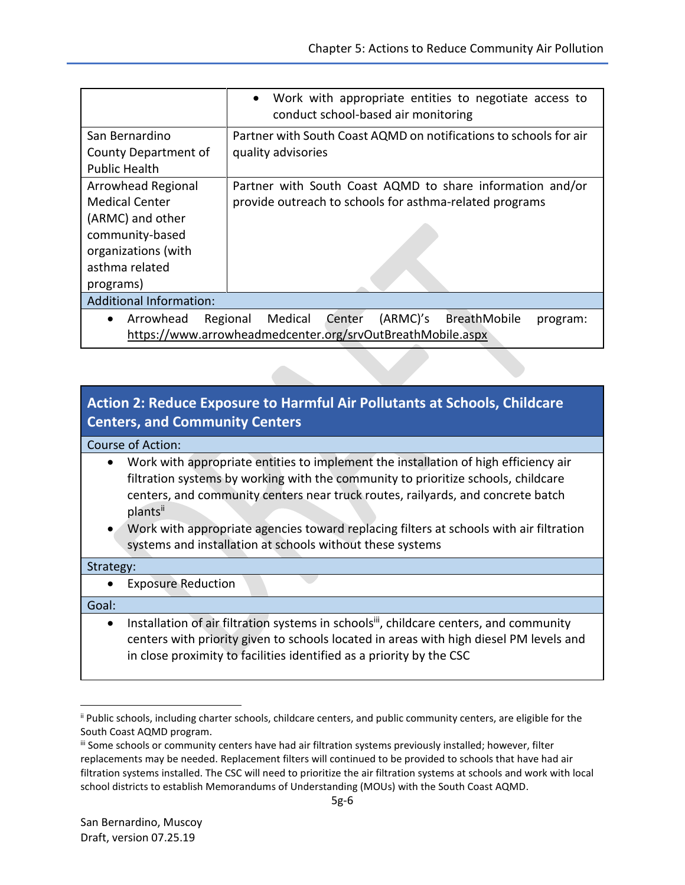|                                                                                                                                          | Work with appropriate entities to negotiate access to<br>conduct school-based air monitoring                                               |
|------------------------------------------------------------------------------------------------------------------------------------------|--------------------------------------------------------------------------------------------------------------------------------------------|
| San Bernardino<br>County Department of<br><b>Public Health</b>                                                                           | Partner with South Coast AQMD on notifications to schools for air<br>quality advisories                                                    |
| Arrowhead Regional<br><b>Medical Center</b><br>(ARMC) and other<br>community-based<br>organizations (with<br>asthma related<br>programs) | Partner with South Coast AQMD to share information and/or<br>provide outreach to schools for asthma-related programs                       |
| <b>Additional Information:</b>                                                                                                           |                                                                                                                                            |
| Arrowhead                                                                                                                                | Medical<br>(ARMC)'s<br>Center<br><b>BreathMobile</b><br>Regional<br>program:<br>https://www.arrowheadmedcenter.org/srvOutBreathMobile.aspx |

# **Action 2: Reduce Exposure to Harmful Air Pollutants at Schools, Childcare Centers, and Community Centers**

#### Course of Action:

- Work with appropriate entities to implement the installation of high efficiency air filtration systems by working with the community to prioritize schools, childcare centers, and community centers near truck routes, railyards, and concrete batch plantsii
- Work with appropriate agencies toward replacing filters at schools with air filtration systems and installation at schools without these systems

#### Strategy:

Exposure Reduction

#### Goal:

 $\overline{\phantom{a}}$ 

• Installation of air filtration systems in schools<sup>iii</sup>, childcare centers, and community centers with priority given to schools located in areas with high diesel PM levels and in close proximity to facilities identified as a priority by the CSC

ii Public schools, including charter schools, childcare centers, and public community centers, are eligible for the South Coast AQMD program.

iii Some schools or community centers have had air filtration systems previously installed; however, filter replacements may be needed. Replacement filters will continued to be provided to schools that have had air filtration systems installed. The CSC will need to prioritize the air filtration systems at schools and work with local school districts to establish Memorandums of Understanding (MOUs) with the South Coast AQMD.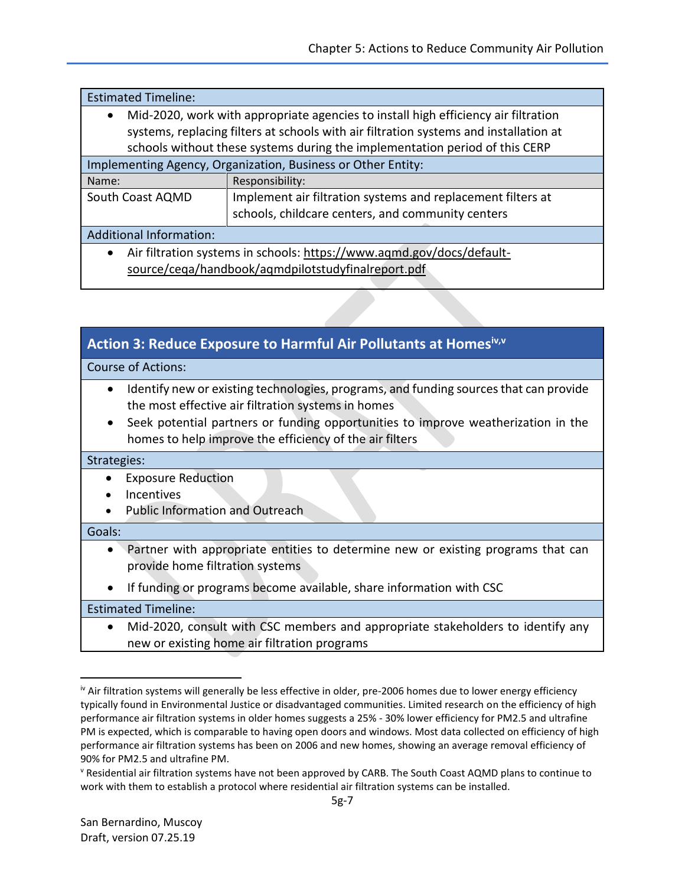| <b>Estimated Timeline:</b>                                                                      |                                                             |
|-------------------------------------------------------------------------------------------------|-------------------------------------------------------------|
| Mid-2020, work with appropriate agencies to install high efficiency air filtration<br>$\bullet$ |                                                             |
| systems, replacing filters at schools with air filtration systems and installation at           |                                                             |
| schools without these systems during the implementation period of this CERP                     |                                                             |
| Implementing Agency, Organization, Business or Other Entity:                                    |                                                             |
| Name:                                                                                           | Responsibility:                                             |
| South Coast AQMD                                                                                | Implement air filtration systems and replacement filters at |
|                                                                                                 | schools, childcare centers, and community centers           |
| <b>Additional Information:</b>                                                                  |                                                             |
| Air filtration systems in schools: https://www.aqmd.gov/docs/default-                           |                                                             |
| source/cega/handbook/agmdpilotstudyfinalreport.pdf                                              |                                                             |

| Action 3: Reduce Exposure to Harmful Air Pollutants at Homesiv,v |  |
|------------------------------------------------------------------|--|
|                                                                  |  |

Course of Actions:

- Identify new or existing technologies, programs, and funding sources that can provide the most effective air filtration systems in homes
- Seek potential partners or funding opportunities to improve weatherization in the homes to help improve the efficiency of the air filters

#### Strategies:

- Exposure Reduction
- Incentives
- Public Information and Outreach

#### Goals:

 $\overline{\phantom{a}}$ 

- Partner with appropriate entities to determine new or existing programs that can provide home filtration systems
- If funding or programs become available, share information with CSC

Estimated Timeline:

 Mid-2020, consult with CSC members and appropriate stakeholders to identify any new or existing home air filtration programs

iv Air filtration systems will generally be less effective in older, pre-2006 homes due to lower energy efficiency typically found in Environmental Justice or disadvantaged communities. Limited research on the efficiency of high performance air filtration systems in older homes suggests a 25% - 30% lower efficiency for PM2.5 and ultrafine PM is expected, which is comparable to having open doors and windows. Most data collected on efficiency of high performance air filtration systems has been on 2006 and new homes, showing an average removal efficiency of 90% for PM2.5 and ultrafine PM.

<sup>v</sup> Residential air filtration systems have not been approved by CARB. The South Coast AQMD plans to continue to work with them to establish a protocol where residential air filtration systems can be installed.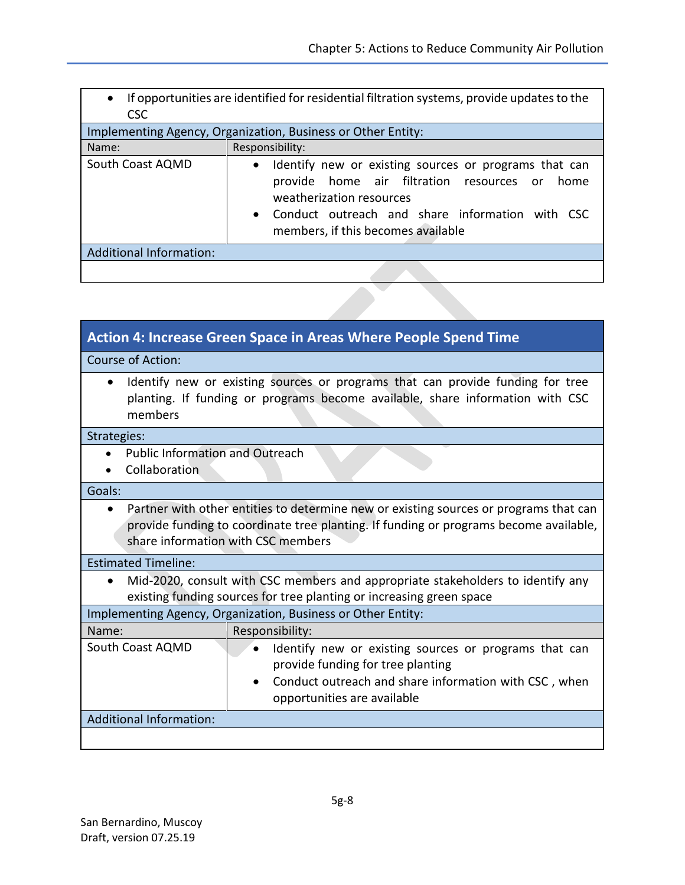| $\bullet$<br><b>CSC</b>        | If opportunities are identified for residential filtration systems, provide updates to the                                                                                                                                                    |
|--------------------------------|-----------------------------------------------------------------------------------------------------------------------------------------------------------------------------------------------------------------------------------------------|
|                                | Implementing Agency, Organization, Business or Other Entity:                                                                                                                                                                                  |
| Name:                          | Responsibility:                                                                                                                                                                                                                               |
| South Coast AQMD               | Identify new or existing sources or programs that can<br>$\bullet$<br>provide home air filtration resources or<br>home<br>weatherization resources<br>• Conduct outreach and share information with CSC<br>members, if this becomes available |
| <b>Additional Information:</b> |                                                                                                                                                                                                                                               |
|                                |                                                                                                                                                                                                                                               |

| <b>Action 4: Increase Green Space in Areas Where People Spend Time</b>                                                                                                                                                            |  |
|-----------------------------------------------------------------------------------------------------------------------------------------------------------------------------------------------------------------------------------|--|
| Course of Action:                                                                                                                                                                                                                 |  |
| Identify new or existing sources or programs that can provide funding for tree<br>$\bullet$<br>planting. If funding or programs become available, share information with CSC<br>members                                           |  |
| Strategies:                                                                                                                                                                                                                       |  |
| <b>Public Information and Outreach</b><br>Collaboration                                                                                                                                                                           |  |
| Goals:                                                                                                                                                                                                                            |  |
| Partner with other entities to determine new or existing sources or programs that can<br>$\bullet$<br>provide funding to coordinate tree planting. If funding or programs become available,<br>share information with CSC members |  |
| <b>Estimated Timeline:</b>                                                                                                                                                                                                        |  |
| Mid-2020, consult with CSC members and appropriate stakeholders to identify any<br>$\bullet$<br>existing funding sources for tree planting or increasing green space                                                              |  |
| Implementing Agency, Organization, Business or Other Entity:                                                                                                                                                                      |  |
| Responsibility:<br>Name:                                                                                                                                                                                                          |  |
| South Coast AQMD<br>Identify new or existing sources or programs that can<br>provide funding for tree planting<br>Conduct outreach and share information with CSC, when<br>opportunities are available                            |  |
| <b>Additional Information:</b>                                                                                                                                                                                                    |  |
|                                                                                                                                                                                                                                   |  |